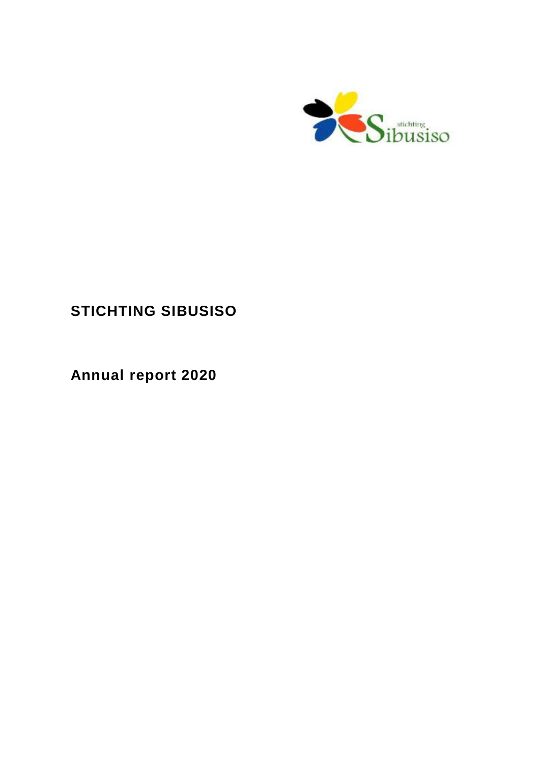

# **STICHTING SIBUSISO**

**Annual report 2020**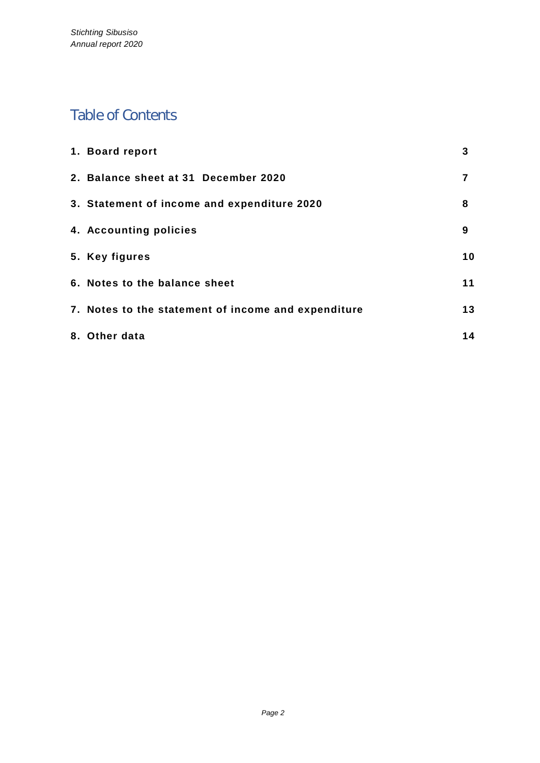# Table of Contents

| 1. Board report                                     | 3  |
|-----------------------------------------------------|----|
| 2. Balance sheet at 31 December 2020                | 7  |
| 3. Statement of income and expenditure 2020         | 8  |
| 4. Accounting policies                              | 9  |
| 5. Key figures                                      | 10 |
| 6. Notes to the balance sheet                       | 11 |
| 7. Notes to the statement of income and expenditure | 13 |
| 8. Other data                                       | 14 |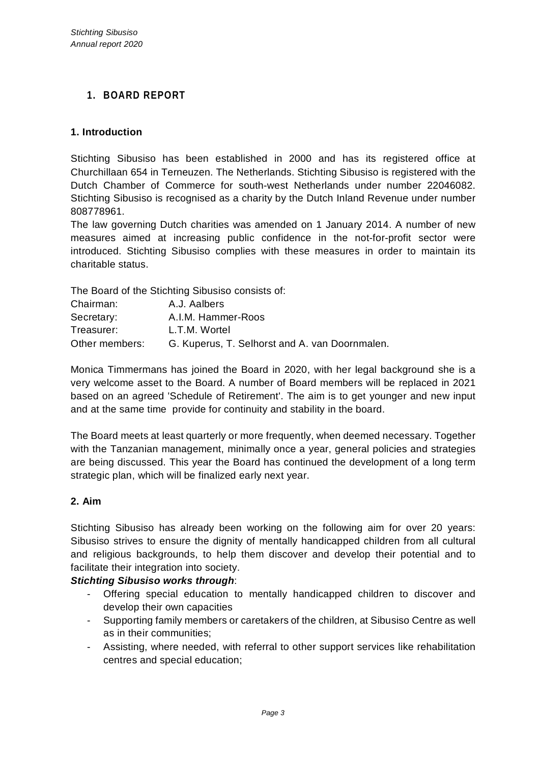# **1. BOARD REPORT**

## **1. Introduction**

Stichting Sibusiso has been established in 2000 and has its registered office at Churchillaan 654 in Terneuzen. The Netherlands. Stichting Sibusiso is registered with the Dutch Chamber of Commerce for south-west Netherlands under number 22046082. Stichting Sibusiso is recognised as a charity by the Dutch Inland Revenue under number 808778961.

The law governing Dutch charities was amended on 1 January 2014. A number of new measures aimed at increasing public confidence in the not-for-profit sector were introduced. Stichting Sibusiso complies with these measures in order to maintain its charitable status.

The Board of the Stichting Sibusiso consists of:

| Chairman:      | A.J. Aalbers                                   |
|----------------|------------------------------------------------|
| Secretary:     | A.I.M. Hammer-Roos                             |
| Treasurer:     | L.T.M. Wortel                                  |
| Other members: | G. Kuperus, T. Selhorst and A. van Doornmalen. |

Monica Timmermans has joined the Board in 2020, with her legal background she is a very welcome asset to the Board. A number of Board members will be replaced in 2021 based on an agreed 'Schedule of Retirement'. The aim is to get younger and new input and at the same time provide for continuity and stability in the board.

The Board meets at least quarterly or more frequently, when deemed necessary. Together with the Tanzanian management, minimally once a year, general policies and strategies are being discussed. This year the Board has continued the development of a long term strategic plan, which will be finalized early next year.

### **2. Aim**

Stichting Sibusiso has already been working on the following aim for over 20 years: Sibusiso strives to ensure the dignity of mentally handicapped children from all cultural and religious backgrounds, to help them discover and develop their potential and to facilitate their integration into society.

### *Stichting Sibusiso works through*:

- Offering special education to mentally handicapped children to discover and develop their own capacities
- Supporting family members or caretakers of the children, at Sibusiso Centre as well as in their communities;
- Assisting, where needed, with referral to other support services like rehabilitation centres and special education;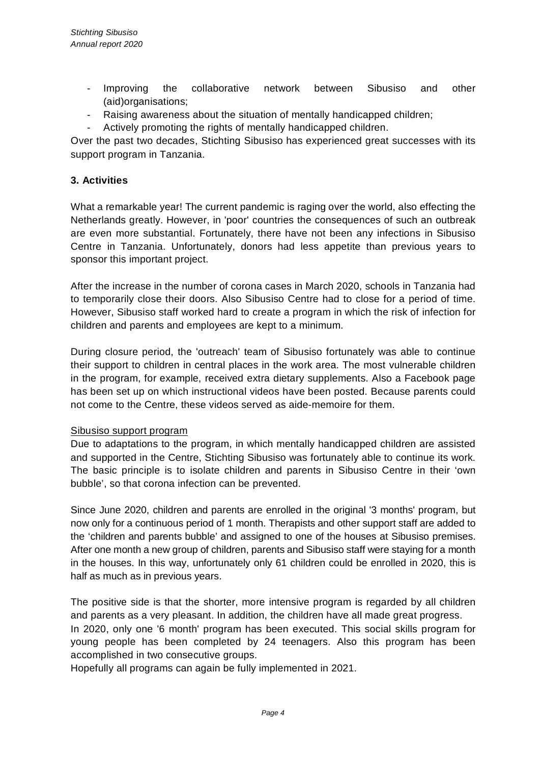- Improving the collaborative network between Sibusiso and other (aid)organisations;
- Raising awareness about the situation of mentally handicapped children;
- Actively promoting the rights of mentally handicapped children.

Over the past two decades, Stichting Sibusiso has experienced great successes with its support program in Tanzania.

### **3. Activities**

What a remarkable year! The current pandemic is raging over the world, also effecting the Netherlands greatly. However, in 'poor' countries the consequences of such an outbreak are even more substantial. Fortunately, there have not been any infections in Sibusiso Centre in Tanzania. Unfortunately, donors had less appetite than previous years to sponsor this important project.

After the increase in the number of corona cases in March 2020, schools in Tanzania had to temporarily close their doors. Also Sibusiso Centre had to close for a period of time. However, Sibusiso staff worked hard to create a program in which the risk of infection for children and parents and employees are kept to a minimum.

During closure period, the 'outreach' team of Sibusiso fortunately was able to continue their support to children in central places in the work area. The most vulnerable children in the program, for example, received extra dietary supplements. Also a Facebook page has been set up on which instructional videos have been posted. Because parents could not come to the Centre, these videos served as aide-memoire for them.

#### Sibusiso support program

Due to adaptations to the program, in which mentally handicapped children are assisted and supported in the Centre, Stichting Sibusiso was fortunately able to continue its work. The basic principle is to isolate children and parents in Sibusiso Centre in their 'own bubble', so that corona infection can be prevented.

Since June 2020, children and parents are enrolled in the original '3 months' program, but now only for a continuous period of 1 month. Therapists and other support staff are added to the 'children and parents bubble' and assigned to one of the houses at Sibusiso premises. After one month a new group of children, parents and Sibusiso staff were staying for a month in the houses. In this way, unfortunately only 61 children could be enrolled in 2020, this is half as much as in previous years.

The positive side is that the shorter, more intensive program is regarded by all children and parents as a very pleasant. In addition, the children have all made great progress. In 2020, only one '6 month' program has been executed. This social skills program for young people has been completed by 24 teenagers. Also this program has been accomplished in two consecutive groups.

Hopefully all programs can again be fully implemented in 2021.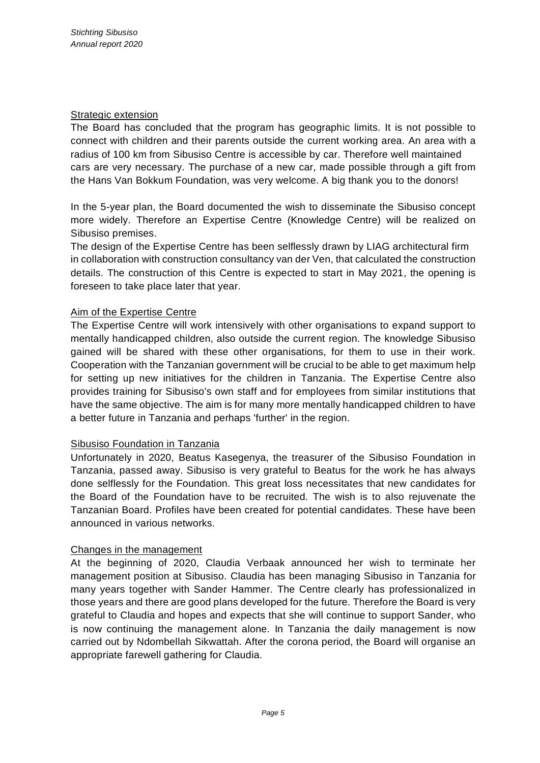### Strategic extension

The Board has concluded that the program has geographic limits. It is not possible to connect with children and their parents outside the current working area. An area with a radius of 100 km from Sibusiso Centre is accessible by car. Therefore well maintained cars are very necessary. The purchase of a new car, made possible through a gift from the Hans Van Bokkum Foundation, was very welcome. A big thank you to the donors!

In the 5-year plan, the Board documented the wish to disseminate the Sibusiso concept more widely. Therefore an Expertise Centre (Knowledge Centre) will be realized on Sibusiso premises.

The design of the Expertise Centre has been selflessly drawn by LIAG architectural firm in collaboration with construction consultancy van der Ven, that calculated the construction details. The construction of this Centre is expected to start in May 2021, the opening is foreseen to take place later that year.

### Aim of the Expertise Centre

The Expertise Centre will work intensively with other organisations to expand support to mentally handicapped children, also outside the current region. The knowledge Sibusiso gained will be shared with these other organisations, for them to use in their work. Cooperation with the Tanzanian government will be crucial to be able to get maximum help for setting up new initiatives for the children in Tanzania. The Expertise Centre also provides training for Sibusiso's own staff and for employees from similar institutions that have the same objective. The aim is for many more mentally handicapped children to have a better future in Tanzania and perhaps 'further' in the region.

#### Sibusiso Foundation in Tanzania

Unfortunately in 2020, Beatus Kasegenya, the treasurer of the Sibusiso Foundation in Tanzania, passed away. Sibusiso is very grateful to Beatus for the work he has always done selflessly for the Foundation. This great loss necessitates that new candidates for the Board of the Foundation have to be recruited. The wish is to also rejuvenate the Tanzanian Board. Profiles have been created for potential candidates. These have been announced in various networks.

#### Changes in the management

At the beginning of 2020, Claudia Verbaak announced her wish to terminate her management position at Sibusiso. Claudia has been managing Sibusiso in Tanzania for many years together with Sander Hammer. The Centre clearly has professionalized in those years and there are good plans developed for the future. Therefore the Board is very grateful to Claudia and hopes and expects that she will continue to support Sander, who is now continuing the management alone. In Tanzania the daily management is now carried out by Ndombellah Sikwattah. After the corona period, the Board will organise an appropriate farewell gathering for Claudia.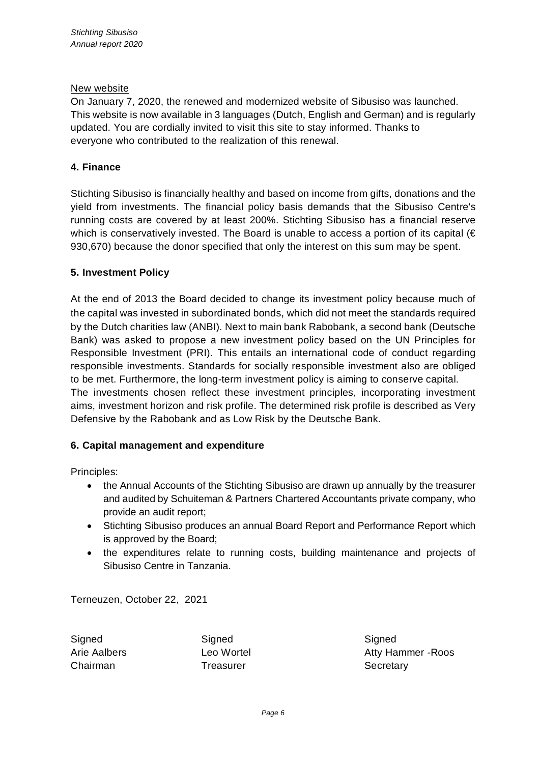#### New website

On January 7, 2020, the renewed and modernized website of Sibusiso was launched. This website is now available in 3 languages (Dutch, English and German) and is regularly updated. You are cordially invited to visit this site to stay informed. Thanks to everyone who contributed to the realization of this renewal.

### **4. Finance**

Stichting Sibusiso is financially healthy and based on income from gifts, donations and the yield from investments. The financial policy basis demands that the Sibusiso Centre's running costs are covered by at least 200%. Stichting Sibusiso has a financial reserve which is conservatively invested. The Board is unable to access a portion of its capital  $(\epsilon)$ 930,670) because the donor specified that only the interest on this sum may be spent.

### **5. Investment Policy**

At the end of 2013 the Board decided to change its investment policy because much of the capital was invested in subordinated bonds, which did not meet the standards required by the Dutch charities law (ANBI). Next to main bank Rabobank, a second bank (Deutsche Bank) was asked to propose a new investment policy based on the UN Principles for Responsible Investment (PRI). This entails an international code of conduct regarding responsible investments. Standards for socially responsible investment also are obliged to be met. Furthermore, the long-term investment policy is aiming to conserve capital. The investments chosen reflect these investment principles, incorporating investment aims, investment horizon and risk profile. The determined risk profile is described as Very Defensive by the Rabobank and as Low Risk by the Deutsche Bank.

#### **6. Capital management and expenditure**

Principles:

- the Annual Accounts of the Stichting Sibusiso are drawn up annually by the treasurer and audited by Schuiteman & Partners Chartered Accountants private company, who provide an audit report;
- · Stichting Sibusiso produces an annual Board Report and Performance Report which is approved by the Board;
- · the expenditures relate to running costs, building maintenance and projects of Sibusiso Centre in Tanzania.

Terneuzen, October 22, 2021

Signed Signed Signed Chairman **Treasurer** Treasurer Secretary

Arie Aalbers Leo Wortel Atty Hammer -Roos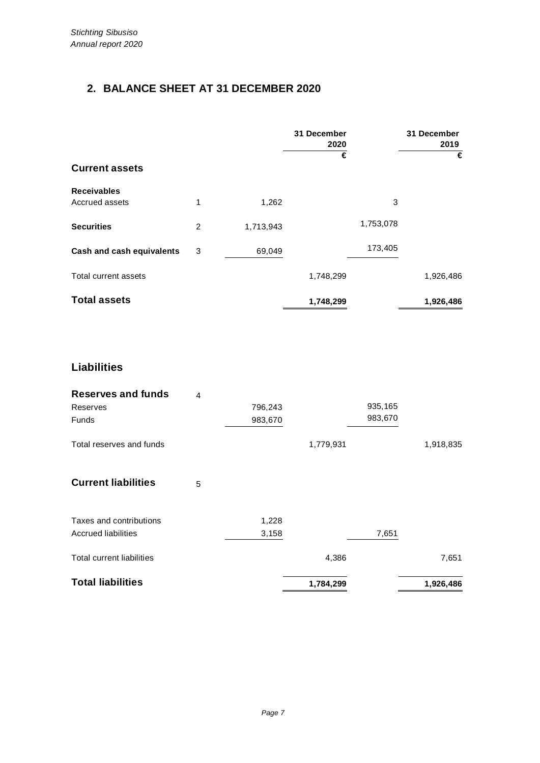# **2. BALANCE SHEET AT 31 DECEMBER 2020**

|                                      |   |           | 31 December<br>2020<br>€ |           | 31 December<br>2019<br>€ |
|--------------------------------------|---|-----------|--------------------------|-----------|--------------------------|
| <b>Current assets</b>                |   |           |                          |           |                          |
| <b>Receivables</b><br>Accrued assets | 1 | 1,262     |                          | 3         |                          |
| <b>Securities</b>                    | 2 | 1,713,943 |                          | 1,753,078 |                          |
| Cash and cash equivalents            | 3 | 69,049    |                          | 173,405   |                          |
| Total current assets                 |   |           | 1,748,299                |           | 1,926,486                |
| <b>Total assets</b>                  |   |           | 1,748,299                |           | 1,926,486                |

# **Liabilities**

| <b>Reserves and funds</b>        | 4 |         |           |         |           |
|----------------------------------|---|---------|-----------|---------|-----------|
| Reserves                         |   | 796,243 |           | 935,165 |           |
| <b>Funds</b>                     |   | 983,670 |           | 983,670 |           |
| Total reserves and funds         |   |         | 1,779,931 |         | 1,918,835 |
| <b>Current liabilities</b>       | 5 |         |           |         |           |
| Taxes and contributions          |   | 1,228   |           |         |           |
| Accrued liabilities              |   | 3,158   |           | 7,651   |           |
| <b>Total current liabilities</b> |   |         | 4,386     |         | 7,651     |
| <b>Total liabilities</b>         |   |         | 1,784,299 |         | 1,926,486 |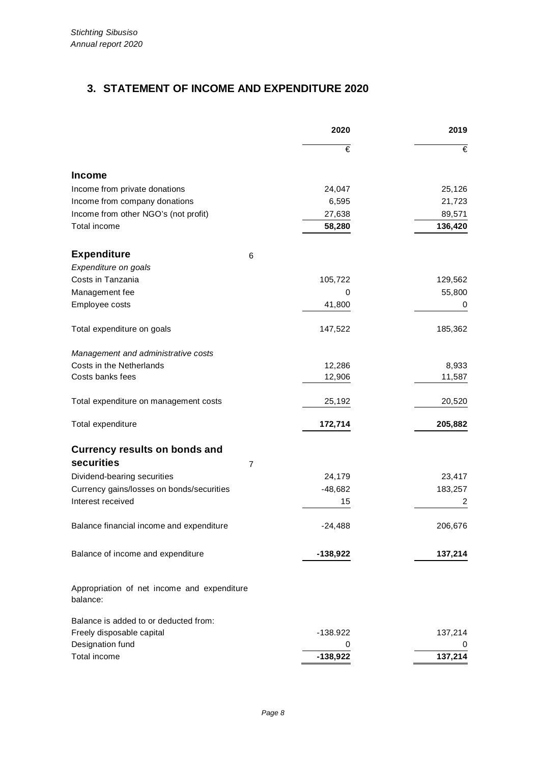# **3. STATEMENT OF INCOME AND EXPENDITURE 2020**

|                                                         |   | 2020       | 2019    |  |
|---------------------------------------------------------|---|------------|---------|--|
|                                                         |   | €          | €       |  |
| <b>Income</b>                                           |   |            |         |  |
| Income from private donations                           |   | 24,047     | 25,126  |  |
| Income from company donations                           |   | 6,595      | 21,723  |  |
| Income from other NGO's (not profit)                    |   | 27,638     | 89,571  |  |
| Total income                                            |   | 58,280     | 136,420 |  |
| <b>Expenditure</b>                                      | 6 |            |         |  |
| Expenditure on goals                                    |   |            |         |  |
| Costs in Tanzania                                       |   | 105,722    | 129,562 |  |
| Management fee                                          |   | 0          | 55,800  |  |
| Employee costs                                          |   | 41,800     | 0       |  |
| Total expenditure on goals                              |   | 147,522    | 185,362 |  |
| Management and administrative costs                     |   |            |         |  |
| Costs in the Netherlands                                |   | 12,286     | 8,933   |  |
| Costs banks fees                                        |   | 12,906     | 11,587  |  |
| Total expenditure on management costs                   |   | 25,192     | 20,520  |  |
| Total expenditure                                       |   | 172,714    | 205,882 |  |
| <b>Currency results on bonds and</b>                    |   |            |         |  |
| securities                                              | 7 |            |         |  |
| Dividend-bearing securities                             |   | 24,179     | 23,417  |  |
| Currency gains/losses on bonds/securities               |   | $-48,682$  | 183,257 |  |
| Interest received                                       |   | 15         | 2       |  |
| Balance financial income and expenditure                |   | $-24,488$  | 206,676 |  |
| Balance of income and expenditure                       |   | $-138,922$ | 137,214 |  |
| Appropriation of net income and expenditure<br>balance: |   |            |         |  |
| Balance is added to or deducted from:                   |   |            |         |  |
| Freely disposable capital                               |   | $-138.922$ | 137,214 |  |
| Designation fund                                        |   | 0          |         |  |
| Total income                                            |   | $-138,922$ | 137,214 |  |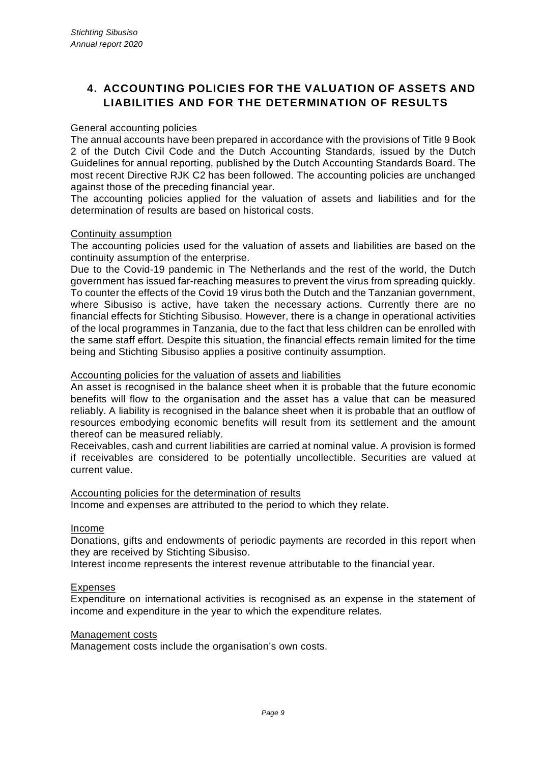# **4. ACCOUNTING POLICIES FOR THE VALUATION OF ASSETS AND LIABILITIES AND FOR THE DETERMINATION OF RESULTS**

#### General accounting policies

The annual accounts have been prepared in accordance with the provisions of Title 9 Book 2 of the Dutch Civil Code and the Dutch Accounting Standards, issued by the Dutch Guidelines for annual reporting, published by the Dutch Accounting Standards Board. The most recent Directive RJK C2 has been followed. The accounting policies are unchanged against those of the preceding financial year.

The accounting policies applied for the valuation of assets and liabilities and for the determination of results are based on historical costs.

#### Continuity assumption

The accounting policies used for the valuation of assets and liabilities are based on the continuity assumption of the enterprise.

Due to the Covid-19 pandemic in The Netherlands and the rest of the world, the Dutch government has issued far-reaching measures to prevent the virus from spreading quickly. To counter the effects of the Covid 19 virus both the Dutch and the Tanzanian government, where Sibusiso is active, have taken the necessary actions. Currently there are no financial effects for Stichting Sibusiso. However, there is a change in operational activities of the local programmes in Tanzania, due to the fact that less children can be enrolled with the same staff effort. Despite this situation, the financial effects remain limited for the time being and Stichting Sibusiso applies a positive continuity assumption.

#### Accounting policies for the valuation of assets and liabilities

An asset is recognised in the balance sheet when it is probable that the future economic benefits will flow to the organisation and the asset has a value that can be measured reliably. A liability is recognised in the balance sheet when it is probable that an outflow of resources embodying economic benefits will result from its settlement and the amount thereof can be measured reliably.

Receivables, cash and current liabilities are carried at nominal value. A provision is formed if receivables are considered to be potentially uncollectible. Securities are valued at current value.

#### Accounting policies for the determination of results

Income and expenses are attributed to the period to which they relate.

#### Income

Donations, gifts and endowments of periodic payments are recorded in this report when they are received by Stichting Sibusiso.

Interest income represents the interest revenue attributable to the financial year.

#### Expenses

Expenditure on international activities is recognised as an expense in the statement of income and expenditure in the year to which the expenditure relates.

#### Management costs

Management costs include the organisation's own costs.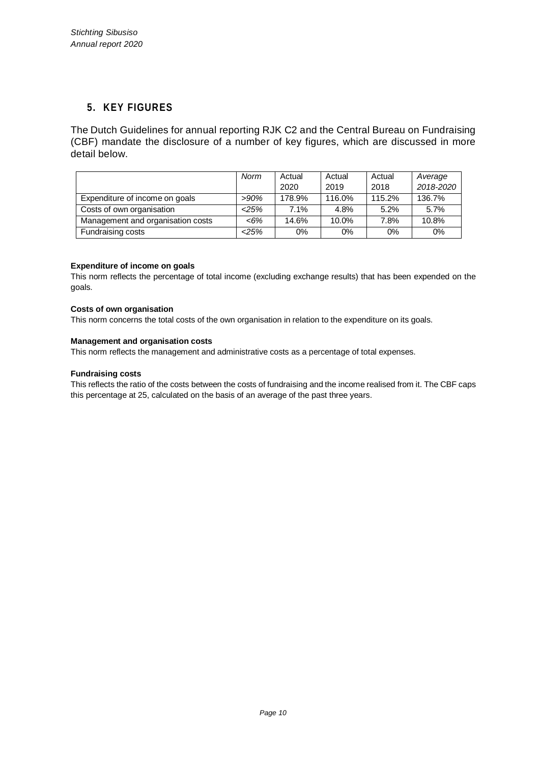### **5. KEY FIGURES**

The Dutch Guidelines for annual reporting RJK C2 and the Central Bureau on Fundraising (CBF) mandate the disclosure of a number of key figures, which are discussed in more detail below.

|                                   | Norm    | Actual | Actual | Actual | Average   |
|-----------------------------------|---------|--------|--------|--------|-----------|
|                                   |         | 2020   | 2019   | 2018   | 2018-2020 |
| Expenditure of income on goals    | $>90\%$ | 178.9% | 116.0% | 115.2% | 136.7%    |
| Costs of own organisation         | 25%     | 7.1%   | 4.8%   | 5.2%   | 5.7%      |
| Management and organisation costs | <6%     | 14.6%  | 10.0%  | 7.8%   | 10.8%     |
| Fundraising costs                 | 25%     | $0\%$  | 0%     | 0%     | $0\%$     |

#### **Expenditure of income on goals**

This norm reflects the percentage of total income (excluding exchange results) that has been expended on the goals.

#### **Costs of own organisation**

This norm concerns the total costs of the own organisation in relation to the expenditure on its goals.

#### **Management and organisation costs**

This norm reflects the management and administrative costs as a percentage of total expenses.

#### **Fundraising costs**

This reflects the ratio of the costs between the costs of fundraising and the income realised from it. The CBF caps this percentage at 25, calculated on the basis of an average of the past three years.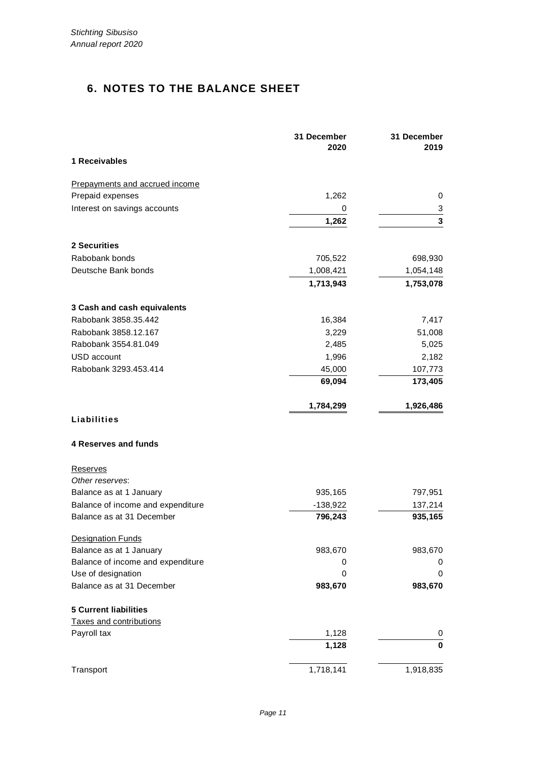# **6. NOTES TO THE BALANCE SHEET**

|                                                              | 31 December<br>2020 | 31 December<br>2019 |
|--------------------------------------------------------------|---------------------|---------------------|
| 1 Receivables                                                |                     |                     |
| Prepayments and accrued income                               |                     |                     |
| Prepaid expenses                                             | 1,262               | 0                   |
| Interest on savings accounts                                 | 0                   | 3                   |
|                                                              | 1,262               | 3                   |
| 2 Securities                                                 |                     |                     |
| Rabobank bonds                                               | 705,522             | 698,930             |
| Deutsche Bank bonds                                          | 1,008,421           | 1,054,148           |
|                                                              | 1,713,943           | 1,753,078           |
| 3 Cash and cash equivalents                                  |                     |                     |
| Rabobank 3858.35.442                                         | 16,384              | 7,417               |
| Rabobank 3858.12.167                                         | 3,229               | 51,008              |
| Rabobank 3554.81.049                                         | 2,485               | 5,025               |
| USD account                                                  | 1,996               | 2,182               |
| Rabobank 3293.453.414                                        | 45,000              | 107,773             |
|                                                              | 69,094              | 173,405             |
|                                                              | 1,784,299           | 1,926,486           |
| Liabilities                                                  |                     |                     |
| <b>4 Reserves and funds</b>                                  |                     |                     |
| <b>Reserves</b>                                              |                     |                     |
| Other reserves:                                              |                     |                     |
| Balance as at 1 January                                      | 935,165             | 797,951             |
| Balance of income and expenditure                            | $-138,922$          | 137,214             |
| Balance as at 31 December                                    | 796,243             | 935,165             |
| <b>Designation Funds</b>                                     |                     |                     |
| Balance as at 1 January<br>Balance of income and expenditure | 983,670<br>0        | 983,670<br>0        |
| Use of designation                                           | 0                   | 0                   |
| Balance as at 31 December                                    | 983,670             | 983,670             |
| <b>5 Current liabilities</b>                                 |                     |                     |
| Taxes and contributions                                      |                     |                     |
| Payroll tax                                                  | 1,128               | 0                   |
|                                                              | 1,128               | $\mathbf 0$         |
| Transport                                                    | 1,718,141           | 1,918,835           |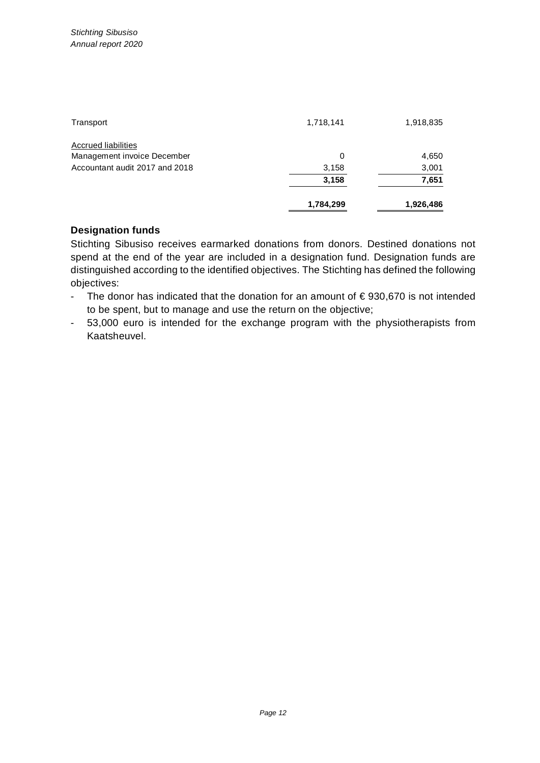| Transport                      | 1,718,141 | 1,918,835 |
|--------------------------------|-----------|-----------|
| <b>Accrued liabilities</b>     |           |           |
| Management invoice December    | 0         | 4,650     |
| Accountant audit 2017 and 2018 | 3,158     | 3,001     |
|                                | 3,158     | 7,651     |
|                                | 1,784,299 | 1,926,486 |

### **Designation funds**

Stichting Sibusiso receives earmarked donations from donors. Destined donations not spend at the end of the year are included in a designation fund. Designation funds are distinguished according to the identified objectives. The Stichting has defined the following objectives:

- The donor has indicated that the donation for an amount of  $\epsilon$  930,670 is not intended to be spent, but to manage and use the return on the objective;
- 53,000 euro is intended for the exchange program with the physiotherapists from Kaatsheuvel.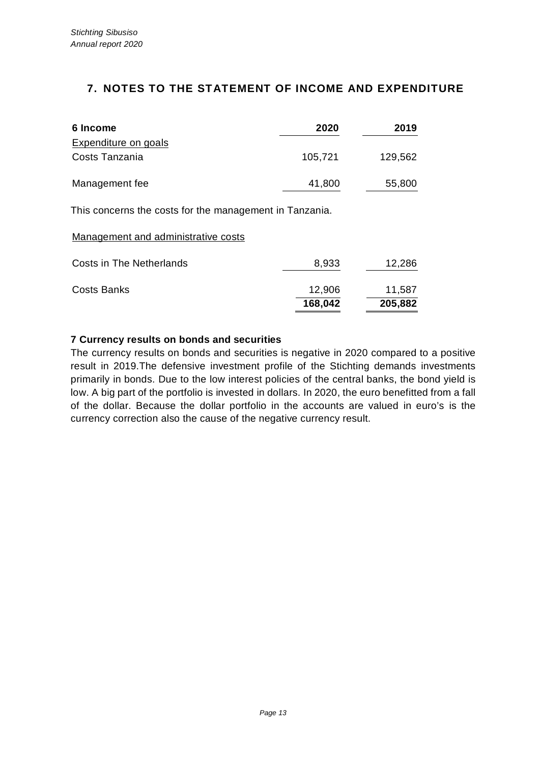## **7. NOTES TO THE STATEMENT OF INCOME AND EXPENDITURE**

| 6 Income                    | 2020    | 2019    |
|-----------------------------|---------|---------|
| <b>Expenditure on goals</b> |         |         |
| Costs Tanzania              | 105,721 | 129,562 |
| Management fee              | 41,800  | 55,800  |

This concerns the costs for the management in Tanzania.

Management and administrative costs

|                          | 168,042 | 205,882 |
|--------------------------|---------|---------|
| <b>Costs Banks</b>       | 12,906  | 11,587  |
| Costs in The Netherlands | 8,933   | 12,286  |

### **7 Currency results on bonds and securities**

The currency results on bonds and securities is negative in 2020 compared to a positive result in 2019.The defensive investment profile of the Stichting demands investments primarily in bonds. Due to the low interest policies of the central banks, the bond yield is low. A big part of the portfolio is invested in dollars. In 2020, the euro benefitted from a fall of the dollar. Because the dollar portfolio in the accounts are valued in euro's is the currency correction also the cause of the negative currency result.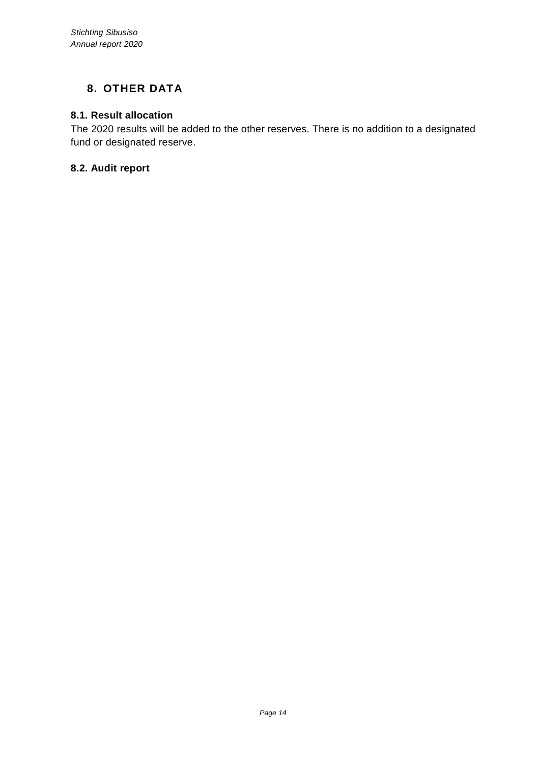# **8. OTHER DATA**

### **8.1. Result allocation**

The 2020 results will be added to the other reserves. There is no addition to a designated fund or designated reserve.

### **8.2. Audit report**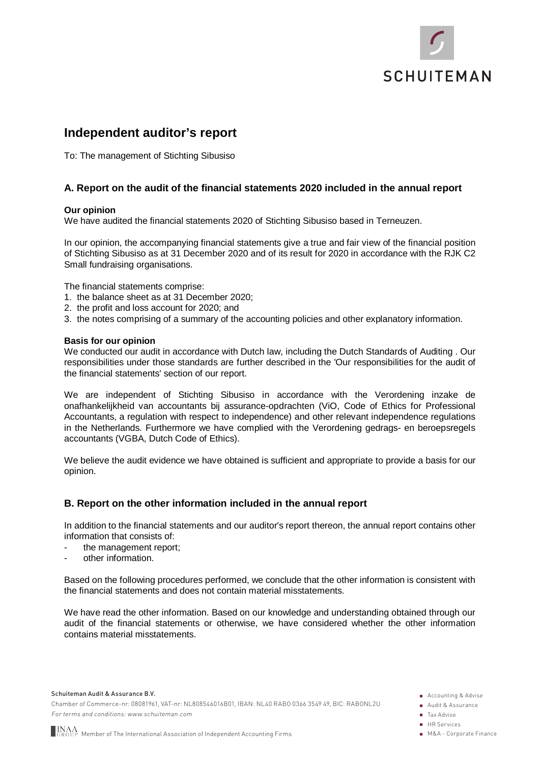

# **Independent auditor's report**

To: The management of Stichting Sibusiso

#### **A. Report on the audit of the financial statements 2020 included in the annual report**

#### **Our opinion**

We have audited the financial statements 2020 of Stichting Sibusiso based in Terneuzen.

In our opinion, the accompanying financial statements give a true and fair view of the financial position of Stichting Sibusiso as at 31 December 2020 and of its result for 2020 in accordance with the RJK C2 Small fundraising organisations.

The financial statements comprise:

- 1. the balance sheet as at 31 December 2020;
- 2. the profit and loss account for 2020; and
- 3. the notes comprising of a summary of the accounting policies and other explanatory information.

#### **Basis for our opinion**

We conducted our audit in accordance with Dutch law, including the Dutch Standards of Auditing . Our responsibilities under those standards are further described in the 'Our responsibilities for the audit of the financial statements' section of our report.

We are independent of Stichting Sibusiso in accordance with the Verordening inzake de onafhankelijkheid van accountants bij assurance-opdrachten (ViO, Code of Ethics for Professional Accountants, a regulation with respect to independence) and other relevant independence regulations in the Netherlands. Furthermore we have complied with the Verordening gedrags- en beroepsregels accountants (VGBA, Dutch Code of Ethics).

We believe the audit evidence we have obtained is sufficient and appropriate to provide a basis for our opinion.

#### **B. Report on the other information included in the annual report**

In addition to the financial statements and our auditor's report thereon, the annual report contains other information that consists of:

- the management report;
- other information.

Based on the following procedures performed, we conclude that the other information is consistent with the financial statements and does not contain material misstatements.

We have read the other information. Based on our knowledge and understanding obtained through our audit of the financial statements or otherwise, we have considered whether the other information contains material misstatements.

Schuiteman Audit & Assurance B.V.

Chamber of Commerce-nr: 08081961, VAT-nr: NL808546016B01, IBAN: NL40 RABO 0366 3549 49, BIC: RABONL2U For terms and conditions: www.schuiteman.com

- **Accounting & Advise**
- Audit & Assurance
- Tax Advise
- **HR** Services
- M&A Corporate Finance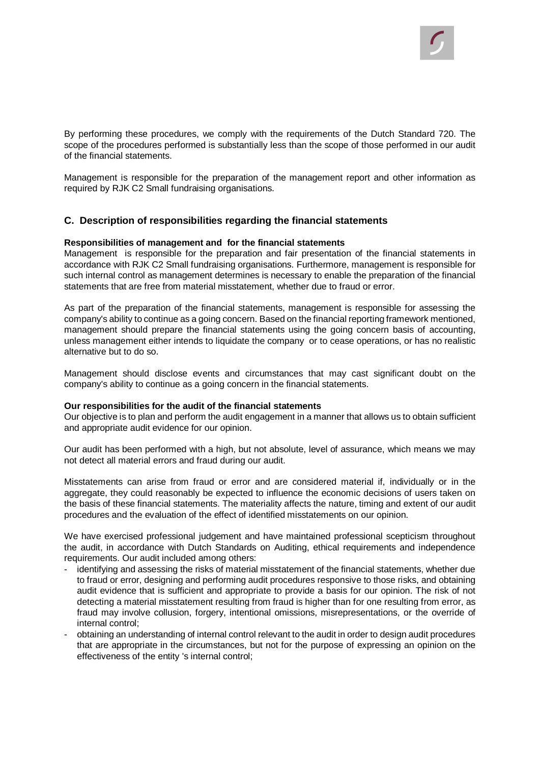By performing these procedures, we comply with the requirements of the Dutch Standard 720. The scope of the procedures performed is substantially less than the scope of those performed in our audit of the financial statements.

Management is responsible for the preparation of the management report and other information as required by RJK C2 Small fundraising organisations.

#### **C. Description of responsibilities regarding the financial statements**

#### **Responsibilities of management and for the financial statements**

Management is responsible for the preparation and fair presentation of the financial statements in accordance with RJK C2 Small fundraising organisations. Furthermore, management is responsible for such internal control as management determines is necessary to enable the preparation of the financial statements that are free from material misstatement, whether due to fraud or error.

As part of the preparation of the financial statements, management is responsible for assessing the company's ability to continue as a going concern. Based on the financial reporting framework mentioned, management should prepare the financial statements using the going concern basis of accounting, unless management either intends to liquidate the company or to cease operations, or has no realistic alternative but to do so.

Management should disclose events and circumstances that may cast significant doubt on the company's ability to continue as a going concern in the financial statements.

#### **Our responsibilities for the audit of the financial statements**

Our objective is to plan and perform the audit engagement in a manner that allows us to obtain sufficient and appropriate audit evidence for our opinion.

Our audit has been performed with a high, but not absolute, level of assurance, which means we may not detect all material errors and fraud during our audit.

Misstatements can arise from fraud or error and are considered material if, individually or in the aggregate, they could reasonably be expected to influence the economic decisions of users taken on the basis of these financial statements. The materiality affects the nature, timing and extent of our audit procedures and the evaluation of the effect of identified misstatements on our opinion.

We have exercised professional judgement and have maintained professional scepticism throughout the audit, in accordance with Dutch Standards on Auditing, ethical requirements and independence requirements. Our audit included among others:

- identifying and assessing the risks of material misstatement of the financial statements, whether due to fraud or error, designing and performing audit procedures responsive to those risks, and obtaining audit evidence that is sufficient and appropriate to provide a basis for our opinion. The risk of not detecting a material misstatement resulting from fraud is higher than for one resulting from error, as fraud may involve collusion, forgery, intentional omissions, misrepresentations, or the override of internal control;
- obtaining an understanding of internal control relevant to the audit in order to design audit procedures that are appropriate in the circumstances, but not for the purpose of expressing an opinion on the effectiveness of the entity 's internal control;